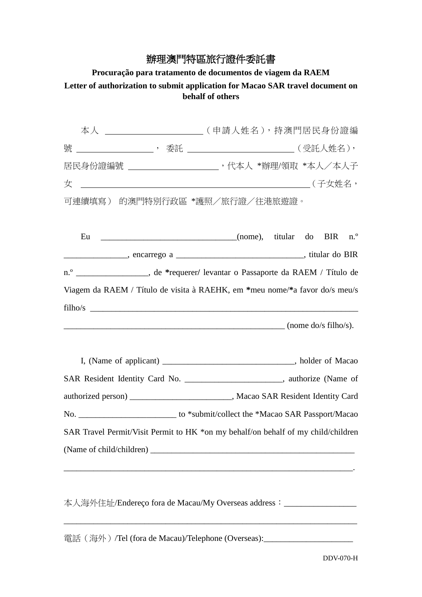## 辦理澳門特區旅行證件委託書

## **Procuração para tratamento de documentos de viagem da RAEM Letter of authorization to submit application for Macao SAR travel document on behalf of others**

|        | 本人 ____________________________(申請人姓名),持澳門居民身份證編                                  |                                                                                                                                                                                                                                                                                                                                                                                                                                   |  |            |                |
|--------|-----------------------------------------------------------------------------------|-----------------------------------------------------------------------------------------------------------------------------------------------------------------------------------------------------------------------------------------------------------------------------------------------------------------------------------------------------------------------------------------------------------------------------------|--|------------|----------------|
| 號      |                                                                                   |                                                                                                                                                                                                                                                                                                                                                                                                                                   |  |            |                |
|        | 居民身份證編號 ______________________, 代本人 *辦理/領取 *本人/本人子                                |                                                                                                                                                                                                                                                                                                                                                                                                                                   |  |            |                |
| 女      |                                                                                   |                                                                                                                                                                                                                                                                                                                                                                                                                                   |  |            |                |
| 可連續填寫) | 的澳門特別行政區 *護照/旅行證/往港旅遊證。                                                           |                                                                                                                                                                                                                                                                                                                                                                                                                                   |  |            |                |
| Eu     | (nome), titular do                                                                |                                                                                                                                                                                                                                                                                                                                                                                                                                   |  | <b>BIR</b> | n <sup>o</sup> |
|        |                                                                                   |                                                                                                                                                                                                                                                                                                                                                                                                                                   |  |            |                |
|        | n.º __________________, de *requerer/ levantar o Passaporte da RAEM / Título de   |                                                                                                                                                                                                                                                                                                                                                                                                                                   |  |            |                |
|        | Viagem da RAEM / Título de visita à RAEHK, em *meu nome/*a favor do/s meu/s       |                                                                                                                                                                                                                                                                                                                                                                                                                                   |  |            |                |
|        |                                                                                   | $\frac{1}{\sqrt{1-\frac{1}{\sqrt{1-\frac{1}{\sqrt{1-\frac{1}{\sqrt{1-\frac{1}{\sqrt{1-\frac{1}{\sqrt{1-\frac{1}{\sqrt{1-\frac{1}{\sqrt{1-\frac{1}{\sqrt{1-\frac{1}{\sqrt{1-\frac{1}{\sqrt{1-\frac{1}{\sqrt{1-\frac{1}{\sqrt{1-\frac{1}{\sqrt{1-\frac{1}{\sqrt{1-\frac{1}{\sqrt{1-\frac{1}{\sqrt{1-\frac{1}{\sqrt{1-\frac{1}{\sqrt{1-\frac{1}{\sqrt{1-\frac{1}{\sqrt{1-\frac{1}{\sqrt{1-\frac{1}{\sqrt{1-\frac{1}{\sqrt{1-\frac{1$ |  |            |                |
|        | I, (Name of applicant) __________________________________, holder of Macao        |                                                                                                                                                                                                                                                                                                                                                                                                                                   |  |            |                |
|        | SAR Resident Identity Card No. __________________________, authorize (Name of     |                                                                                                                                                                                                                                                                                                                                                                                                                                   |  |            |                |
|        | authorized person) ____________________________, Macao SAR Resident Identity Card |                                                                                                                                                                                                                                                                                                                                                                                                                                   |  |            |                |
|        |                                                                                   |                                                                                                                                                                                                                                                                                                                                                                                                                                   |  |            |                |
|        | SAR Travel Permit/Visit Permit to HK *on my behalf/on behalf of my child/children |                                                                                                                                                                                                                                                                                                                                                                                                                                   |  |            |                |
|        |                                                                                   |                                                                                                                                                                                                                                                                                                                                                                                                                                   |  |            |                |

本人海外住址/Endereço fora de Macau/My Overseas address: \_\_\_\_\_\_\_\_\_\_\_\_\_\_\_\_\_\_\_\_\_\_\_\_\_\_\_\_\_

電話(海外)/Tel (fora de Macau)/Telephone (Overseas):\_\_\_\_\_\_\_\_\_\_\_\_\_\_\_\_\_\_\_\_\_\_\_\_\_\_\_\_\_\_\_\_\_